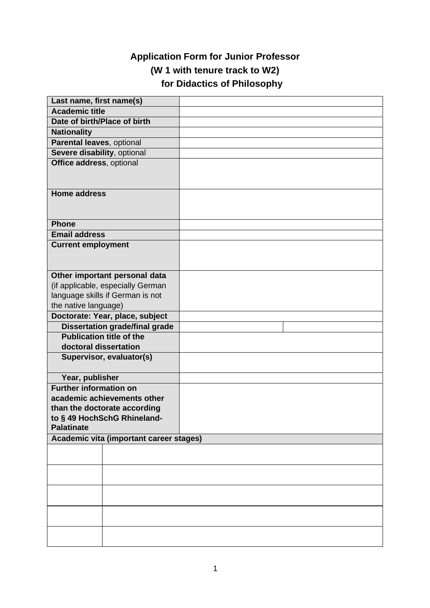## **Application Form for Junior Professor (W 1 with tenure track to W2) for Didactics of Philosophy**

| Last name, first name(s)                          |                                       |  |  |  |
|---------------------------------------------------|---------------------------------------|--|--|--|
| <b>Academic title</b>                             |                                       |  |  |  |
| Date of birth/Place of birth                      |                                       |  |  |  |
| <b>Nationality</b>                                |                                       |  |  |  |
| Parental leaves, optional                         |                                       |  |  |  |
| Severe disability, optional                       |                                       |  |  |  |
| Office address, optional                          |                                       |  |  |  |
|                                                   |                                       |  |  |  |
|                                                   |                                       |  |  |  |
| <b>Home address</b>                               |                                       |  |  |  |
|                                                   |                                       |  |  |  |
|                                                   |                                       |  |  |  |
| <b>Phone</b>                                      |                                       |  |  |  |
| <b>Email address</b>                              |                                       |  |  |  |
| <b>Current employment</b>                         |                                       |  |  |  |
|                                                   |                                       |  |  |  |
|                                                   |                                       |  |  |  |
| Other important personal data                     |                                       |  |  |  |
| (if applicable, especially German                 |                                       |  |  |  |
| language skills if German is not                  |                                       |  |  |  |
| the native language)                              |                                       |  |  |  |
| Doctorate: Year, place, subject                   |                                       |  |  |  |
|                                                   | <b>Dissertation grade/final grade</b> |  |  |  |
| <b>Publication title of the</b>                   |                                       |  |  |  |
| doctoral dissertation<br>Supervisor, evaluator(s) |                                       |  |  |  |
|                                                   |                                       |  |  |  |
| Year, publisher                                   |                                       |  |  |  |
| <b>Further information on</b>                     |                                       |  |  |  |
| academic achievements other                       |                                       |  |  |  |
| than the doctorate according                      |                                       |  |  |  |
| to § 49 HochSchG Rhineland-                       |                                       |  |  |  |
| <b>Palatinate</b>                                 |                                       |  |  |  |
| Academic vita (important career stages)           |                                       |  |  |  |
|                                                   |                                       |  |  |  |
|                                                   |                                       |  |  |  |
|                                                   |                                       |  |  |  |
|                                                   |                                       |  |  |  |
|                                                   |                                       |  |  |  |
|                                                   |                                       |  |  |  |
|                                                   |                                       |  |  |  |
|                                                   |                                       |  |  |  |
|                                                   |                                       |  |  |  |
|                                                   |                                       |  |  |  |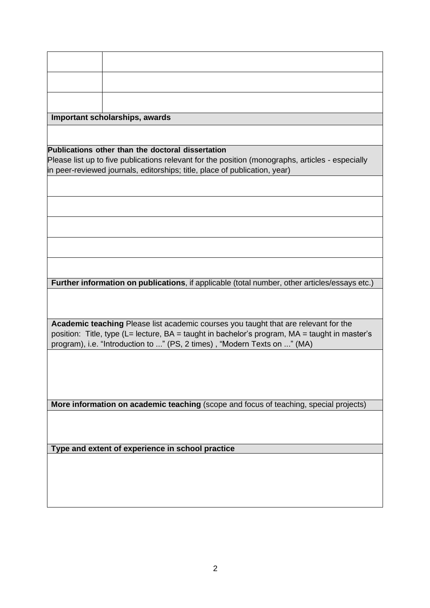|                                                                                                                                                                                                                                                                         | Important scholarships, awards                                                                |  |  |  |  |
|-------------------------------------------------------------------------------------------------------------------------------------------------------------------------------------------------------------------------------------------------------------------------|-----------------------------------------------------------------------------------------------|--|--|--|--|
|                                                                                                                                                                                                                                                                         |                                                                                               |  |  |  |  |
|                                                                                                                                                                                                                                                                         | Publications other than the doctoral dissertation                                             |  |  |  |  |
| Please list up to five publications relevant for the position (monographs, articles - especially                                                                                                                                                                        |                                                                                               |  |  |  |  |
| in peer-reviewed journals, editorships; title, place of publication, year)                                                                                                                                                                                              |                                                                                               |  |  |  |  |
|                                                                                                                                                                                                                                                                         |                                                                                               |  |  |  |  |
|                                                                                                                                                                                                                                                                         |                                                                                               |  |  |  |  |
|                                                                                                                                                                                                                                                                         |                                                                                               |  |  |  |  |
|                                                                                                                                                                                                                                                                         |                                                                                               |  |  |  |  |
|                                                                                                                                                                                                                                                                         |                                                                                               |  |  |  |  |
|                                                                                                                                                                                                                                                                         | Further information on publications, if applicable (total number, other articles/essays etc.) |  |  |  |  |
|                                                                                                                                                                                                                                                                         |                                                                                               |  |  |  |  |
| <b>Academic teaching Please list academic courses you taught that are relevant for the</b><br>position: Title, type (L= lecture, BA = taught in bachelor's program, MA = taught in master's<br>program), i.e. "Introduction to " (PS, 2 times), "Modern Texts on " (MA) |                                                                                               |  |  |  |  |
|                                                                                                                                                                                                                                                                         |                                                                                               |  |  |  |  |
|                                                                                                                                                                                                                                                                         |                                                                                               |  |  |  |  |
|                                                                                                                                                                                                                                                                         | More information on academic teaching (scope and focus of teaching, special projects)         |  |  |  |  |
|                                                                                                                                                                                                                                                                         |                                                                                               |  |  |  |  |
|                                                                                                                                                                                                                                                                         | Type and extent of experience in school practice                                              |  |  |  |  |
|                                                                                                                                                                                                                                                                         |                                                                                               |  |  |  |  |
|                                                                                                                                                                                                                                                                         |                                                                                               |  |  |  |  |
|                                                                                                                                                                                                                                                                         |                                                                                               |  |  |  |  |
|                                                                                                                                                                                                                                                                         |                                                                                               |  |  |  |  |
|                                                                                                                                                                                                                                                                         |                                                                                               |  |  |  |  |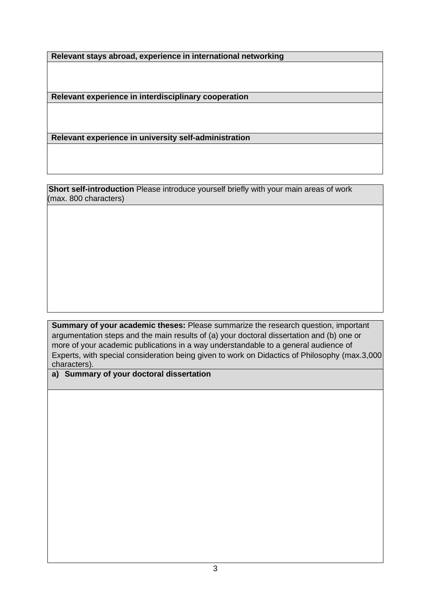**Relevant stays abroad, experience in international networking**

**Relevant experience in interdisciplinary cooperation**

**Relevant experience in university self-administration**

**Short self-introduction** Please introduce yourself briefly with your main areas of work (max. 800 characters)

**Summary of your academic theses:** Please summarize the research question, important argumentation steps and the main results of (a) your doctoral dissertation and (b) one or more of your academic publications in a way understandable to a general audience of Experts, with special consideration being given to work on Didactics of Philosophy (max.3,000 characters).

**a) Summary of your doctoral dissertation**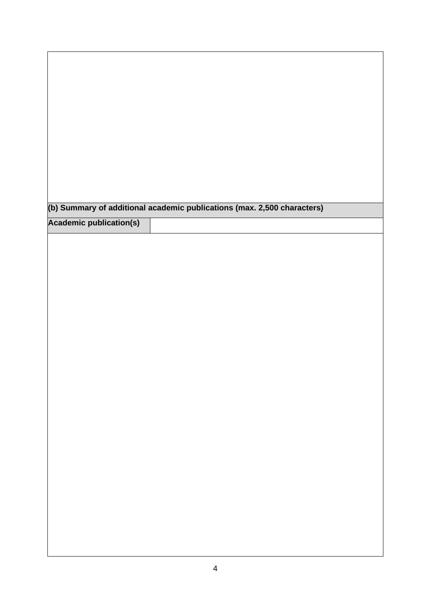| (b) Summary of additional academic publications (max. 2,500 characters) |  |  |
|-------------------------------------------------------------------------|--|--|
| <b>Academic publication(s)</b>                                          |  |  |
|                                                                         |  |  |
|                                                                         |  |  |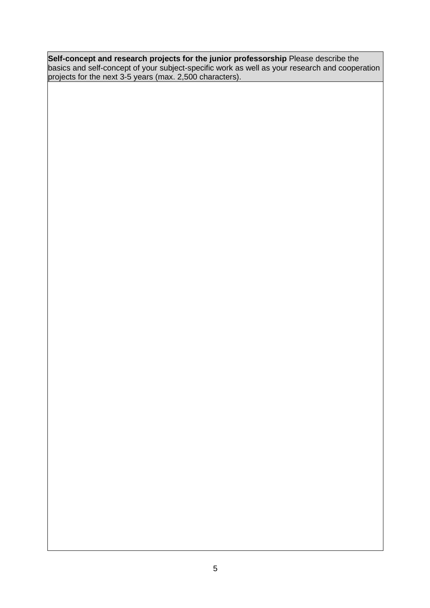**Self-concept and research projects for the junior professorship** Please describe the basics and self-concept of your subject-specific work as well as your research and cooperation projects for the next 3-5 years (max. 2,500 characters).